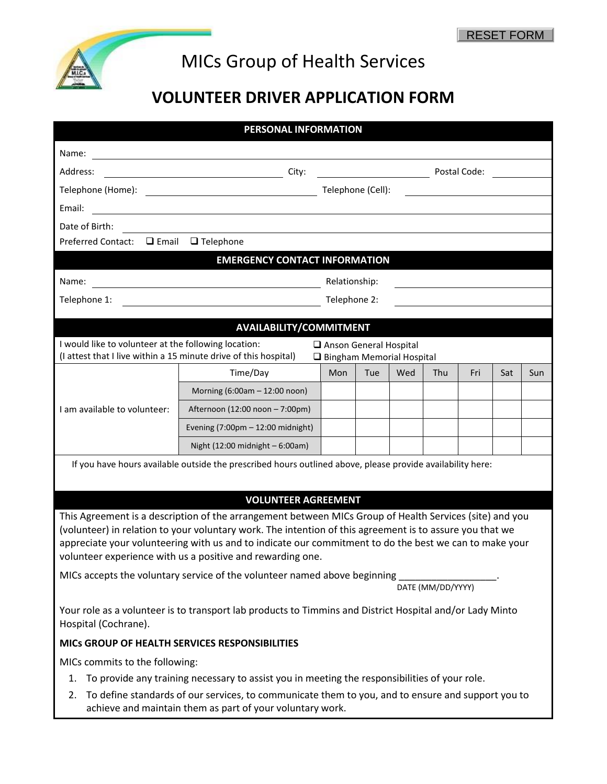

## MICs Group of Health Services

## **VOLUNTEER DRIVER APPLICATION FORM**

| PERSONAL INFORMATION                                                                                                                                                                                               |                                                                                                                      |                   |              |     |                   |     |     |     |  |
|--------------------------------------------------------------------------------------------------------------------------------------------------------------------------------------------------------------------|----------------------------------------------------------------------------------------------------------------------|-------------------|--------------|-----|-------------------|-----|-----|-----|--|
| Name:                                                                                                                                                                                                              |                                                                                                                      |                   |              |     |                   |     |     |     |  |
| Address:<br>City:                                                                                                                                                                                                  |                                                                                                                      |                   | Postal Code: |     |                   |     |     |     |  |
|                                                                                                                                                                                                                    |                                                                                                                      | Telephone (Cell): |              |     |                   |     |     |     |  |
| Email:                                                                                                                                                                                                             | <u> 1980 - Johann Barn, mars ann an t-Amhain Aonaich an t-Aonaich an t-Aonaich ann an t-Aonaich ann an t-Aonaich</u> |                   |              |     |                   |     |     |     |  |
| Date of Birth:                                                                                                                                                                                                     |                                                                                                                      |                   |              |     |                   |     |     |     |  |
| $\Box$ Email<br>Preferred Contact:                                                                                                                                                                                 | $\Box$ Telephone                                                                                                     |                   |              |     |                   |     |     |     |  |
| <b>EMERGENCY CONTACT INFORMATION</b>                                                                                                                                                                               |                                                                                                                      |                   |              |     |                   |     |     |     |  |
| Name:                                                                                                                                                                                                              | Relationship:                                                                                                        |                   |              |     |                   |     |     |     |  |
| Telephone 1:<br>Telephone 2:                                                                                                                                                                                       |                                                                                                                      |                   |              |     |                   |     |     |     |  |
|                                                                                                                                                                                                                    |                                                                                                                      |                   |              |     |                   |     |     |     |  |
| AVAILABILITY/COMMITMENT                                                                                                                                                                                            |                                                                                                                      |                   |              |     |                   |     |     |     |  |
| I would like to volunteer at the following location:<br>Anson General Hospital<br>(I attest that I live within a 15 minute drive of this hospital)<br>Bingham Memorial Hospital                                    |                                                                                                                      |                   |              |     |                   |     |     |     |  |
|                                                                                                                                                                                                                    | Time/Day                                                                                                             | Mon               | Tue          | Wed | Thu               | Fri | Sat | Sun |  |
| I am available to volunteer:                                                                                                                                                                                       | Morning (6:00am - 12:00 noon)                                                                                        |                   |              |     |                   |     |     |     |  |
|                                                                                                                                                                                                                    | Afternoon (12:00 noon - 7:00pm)                                                                                      |                   |              |     |                   |     |     |     |  |
|                                                                                                                                                                                                                    | Evening (7:00pm - 12:00 midnight)                                                                                    |                   |              |     |                   |     |     |     |  |
|                                                                                                                                                                                                                    | Night (12:00 midnight - 6:00am)                                                                                      |                   |              |     |                   |     |     |     |  |
| If you have hours available outside the prescribed hours outlined above, please provide availability here:                                                                                                         |                                                                                                                      |                   |              |     |                   |     |     |     |  |
|                                                                                                                                                                                                                    |                                                                                                                      |                   |              |     |                   |     |     |     |  |
|                                                                                                                                                                                                                    | <b>VOLUNTEER AGREEMENT</b>                                                                                           |                   |              |     |                   |     |     |     |  |
| This Agreement is a description of the arrangement between MICs Group of Health Services (site) and you                                                                                                            |                                                                                                                      |                   |              |     |                   |     |     |     |  |
| (volunteer) in relation to your voluntary work. The intention of this agreement is to assure you that we<br>appreciate your volunteering with us and to indicate our commitment to do the best we can to make your |                                                                                                                      |                   |              |     |                   |     |     |     |  |
| volunteer experience with us a positive and rewarding one.                                                                                                                                                         |                                                                                                                      |                   |              |     |                   |     |     |     |  |
| MICs accepts the voluntary service of the volunteer named above beginning                                                                                                                                          |                                                                                                                      |                   |              |     |                   |     |     |     |  |
|                                                                                                                                                                                                                    |                                                                                                                      |                   |              |     | DATE (MM/DD/YYYY) |     |     |     |  |
| Your role as a volunteer is to transport lab products to Timmins and District Hospital and/or Lady Minto<br>Hospital (Cochrane).                                                                                   |                                                                                                                      |                   |              |     |                   |     |     |     |  |
|                                                                                                                                                                                                                    | MICS GROUP OF HEALTH SERVICES RESPONSIBILITIES                                                                       |                   |              |     |                   |     |     |     |  |
| MICs commits to the following:                                                                                                                                                                                     |                                                                                                                      |                   |              |     |                   |     |     |     |  |
| To provide any training necessary to assist you in meeting the responsibilities of your role.<br>1.                                                                                                                |                                                                                                                      |                   |              |     |                   |     |     |     |  |
| To define standards of our services, to communicate them to you, and to ensure and support you to<br>2.<br>achieve and maintain them as part of your voluntary work.                                               |                                                                                                                      |                   |              |     |                   |     |     |     |  |